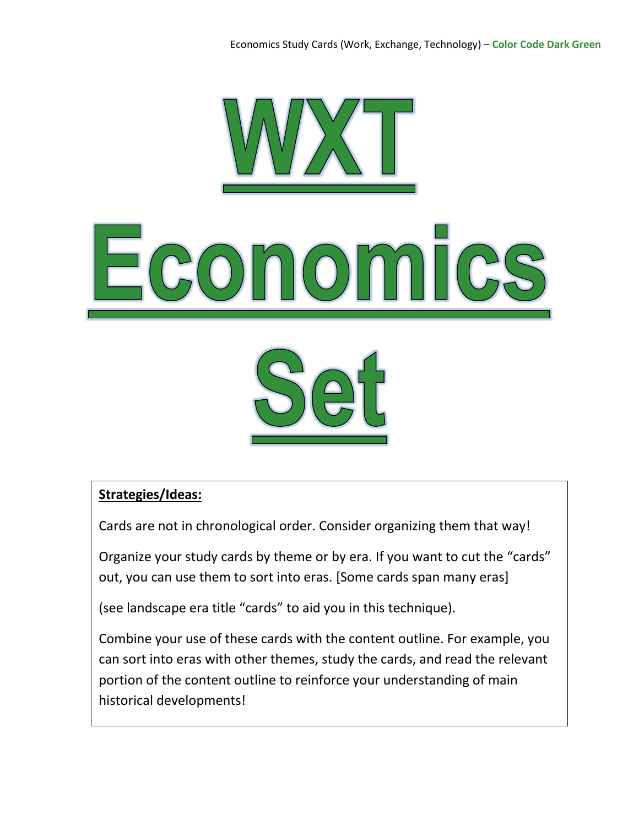

#### **Strategies/Ideas:**

Cards are not in chronological order. Consider organizing them that way!

Organize your study cards by theme or by era. If you want to cut the "cards" out, you can use them to sort into eras. [Some cards span many eras]

(see landscape era title "cards" to aid you in this technique).

Combine your use of these cards with the content outline. For example, you can sort into eras with other themes, study the cards, and read the relevant portion of the content outline to reinforce your understanding of main historical developments!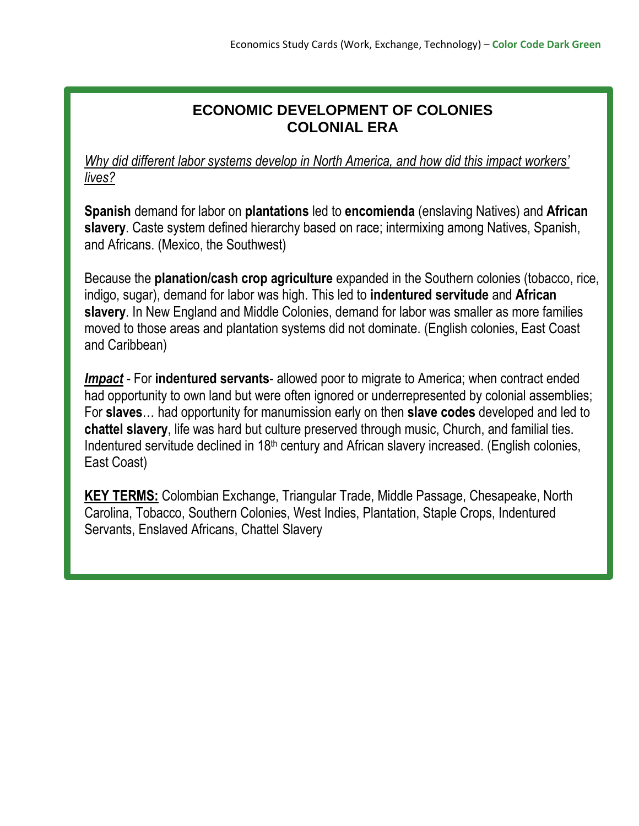# **ECONOMIC DEVELOPMENT OF COLONIES COLONIAL ERA**

*Why did different labor systems develop in North America, and how did this impact workers' lives?*

**Spanish** demand for labor on **plantations** led to **encomienda** (enslaving Natives) and **African slavery**. Caste system defined hierarchy based on race; intermixing among Natives, Spanish, and Africans. (Mexico, the Southwest)

Because the **planation/cash crop agriculture** expanded in the Southern colonies (tobacco, rice, indigo, sugar), demand for labor was high. This led to **indentured servitude** and **African slavery**. In New England and Middle Colonies, demand for labor was smaller as more families moved to those areas and plantation systems did not dominate. (English colonies, East Coast and Caribbean)

*Impact* - For **indentured servants**- allowed poor to migrate to America; when contract ended had opportunity to own land but were often ignored or underrepresented by colonial assemblies; For **slaves**… had opportunity for manumission early on then **slave codes** developed and led to **chattel slavery**, life was hard but culture preserved through music, Church, and familial ties. Indentured servitude declined in 18<sup>th</sup> century and African slavery increased. (English colonies, East Coast)

**KEY TERMS:** Colombian Exchange, Triangular Trade, Middle Passage, Chesapeake, North Carolina, Tobacco, Southern Colonies, West Indies, Plantation, Staple Crops, Indentured Servants, Enslaved Africans, Chattel Slavery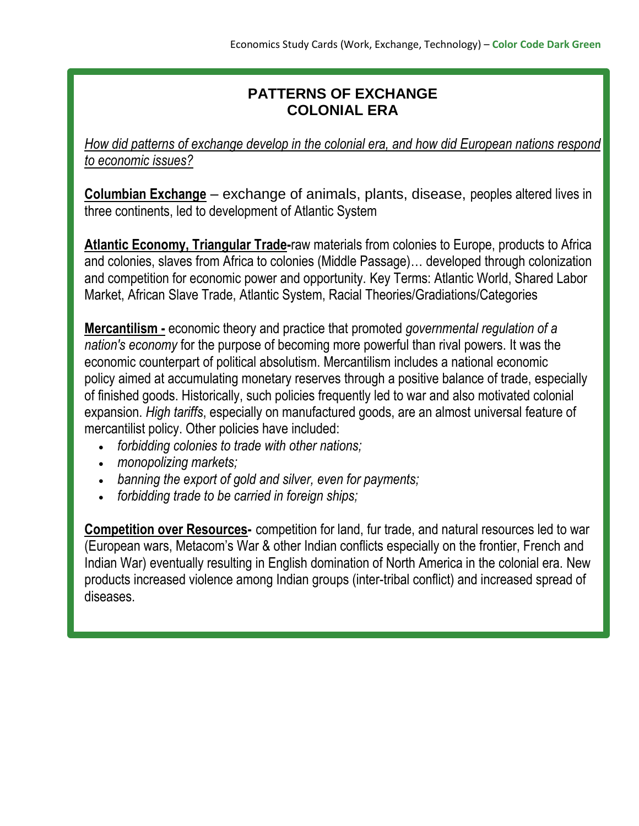# **PATTERNS OF EXCHANGE COLONIAL ERA**

*How did patterns of exchange develop in the colonial era, and how did European nations respond to economic issues?*

**Columbian Exchange** – exchange of animals, plants, disease, peoples altered lives in three continents, led to development of Atlantic System

**Atlantic Economy, Triangular Trade-**raw materials from colonies to Europe, products to Africa and colonies, slaves from Africa to colonies (Middle Passage)… developed through colonization and competition for economic power and opportunity. Key Terms: Atlantic World, Shared Labor Market, African Slave Trade, Atlantic System, Racial Theories/Gradiations/Categories

**Mercantilism -** economic theory and practice that promoted *governmental regulation of a nation's economy* for the purpose of becoming more powerful than rival powers. It was the economic counterpart of political absolutism. Mercantilism includes a national economic policy aimed at accumulating monetary reserves through a positive balance of trade, especially of finished goods. Historically, such policies frequently led to war and also motivated colonial expansion. *High tariffs*, especially on manufactured goods, are an almost universal feature of mercantilist policy. Other policies have included:

- *forbidding colonies to trade with other nations;*
- *monopolizing markets;*
- *banning the export of gold and silver, even for payments;*
- *forbidding trade to be carried in foreign ships;*

**Competition over Resources-** competition for land, fur trade, and natural resources led to war (European wars, Metacom's War & other Indian conflicts especially on the frontier, French and Indian War) eventually resulting in English domination of North America in the colonial era. New products increased violence among Indian groups (inter-tribal conflict) and increased spread of diseases.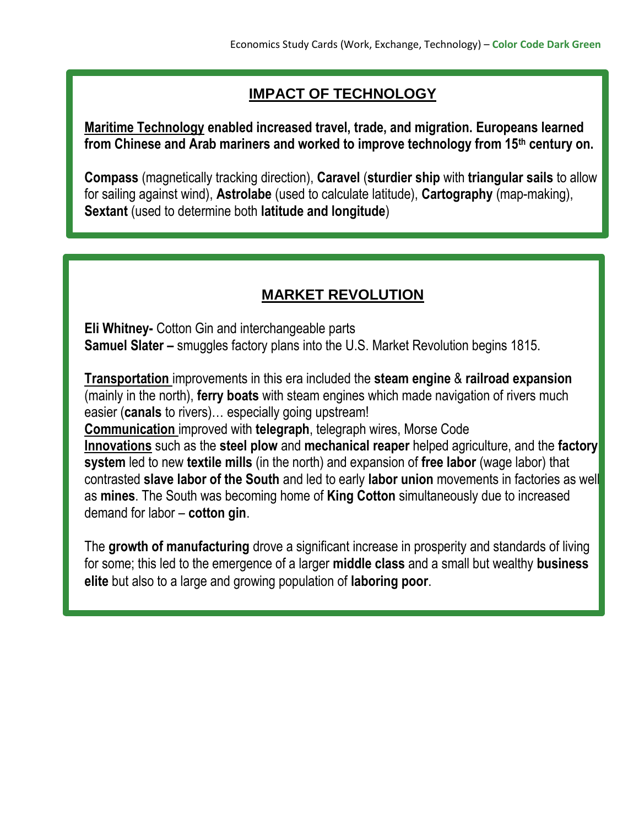# **IMPACT OF TECHNOLOGY**

**Maritime Technology enabled increased travel, trade, and migration. Europeans learned from Chinese and Arab mariners and worked to improve technology from 15th century on.**

**Compass** (magnetically tracking direction), **Caravel** (**sturdier ship** with **triangular sails** to allow for sailing against wind), **Astrolabe** (used to calculate latitude), **Cartography** (map-making), **Sextant** (used to determine both **latitude and longitude**)

# **MARKET REVOLUTION**

**Eli Whitney-** Cotton Gin and interchangeable parts **Samuel Slater –** smuggles factory plans into the U.S. Market Revolution begins 1815.

**Transportation** improvements in this era included the **steam engine** & **railroad expansion** (mainly in the north), **ferry boats** with steam engines which made navigation of rivers much easier (**canals** to rivers)… especially going upstream!

**Communication** improved with **telegraph**, telegraph wires, Morse Code **Innovations** such as the **steel plow** and **mechanical reaper** helped agriculture, and the **factory system** led to new **textile mills** (in the north) and expansion of **free labor** (wage labor) that contrasted **slave labor of the South** and led to early **labor union** movements in factories as well as **mines**. The South was becoming home of **King Cotton** simultaneously due to increased demand for labor – **cotton gin**.

The **growth of manufacturing** drove a significant increase in prosperity and standards of living for some; this led to the emergence of a larger **middle class** and a small but wealthy **business elite** but also to a large and growing population of **laboring poor**.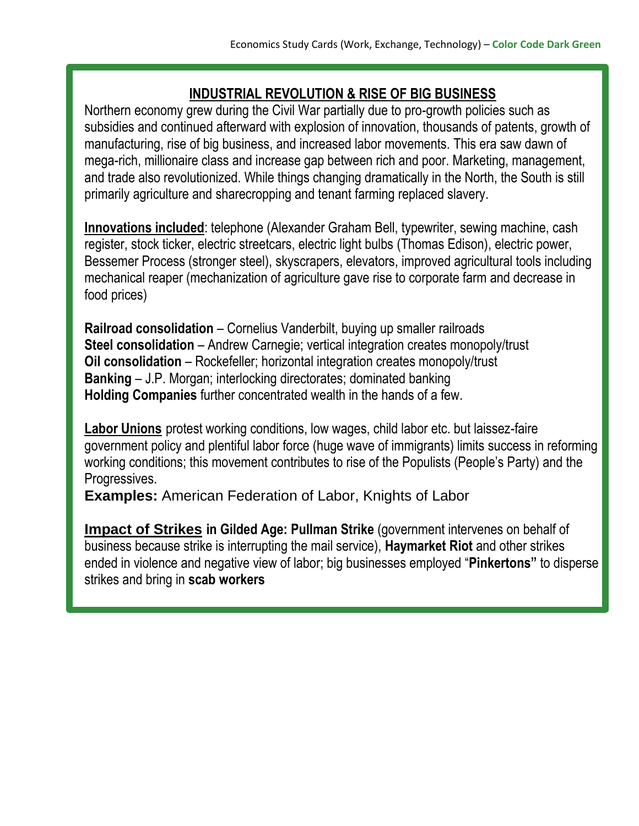### **INDUSTRIAL REVOLUTION & RISE OF BIG BUSINESS**

Northern economy grew during the Civil War partially due to pro-growth policies such as subsidies and continued afterward with explosion of innovation, thousands of patents, growth of manufacturing, rise of big business, and increased labor movements. This era saw dawn of mega-rich, millionaire class and increase gap between rich and poor. Marketing, management, and trade also revolutionized. While things changing dramatically in the North, the South is still primarily agriculture and sharecropping and tenant farming replaced slavery.

**Innovations included**: telephone (Alexander Graham Bell, typewriter, sewing machine, cash register, stock ticker, electric streetcars, electric light bulbs (Thomas Edison), electric power, Bessemer Process (stronger steel), skyscrapers, elevators, improved agricultural tools including mechanical reaper (mechanization of agriculture gave rise to corporate farm and decrease in food prices)

**Railroad consolidation** – Cornelius Vanderbilt, buying up smaller railroads **Steel consolidation** – Andrew Carnegie; vertical integration creates monopoly/trust **Oil consolidation** – Rockefeller; horizontal integration creates monopoly/trust **Banking** – J.P. Morgan; interlocking directorates; dominated banking **Holding Companies** further concentrated wealth in the hands of a few.

**Labor Unions** protest working conditions, low wages, child labor etc. but laissez-faire government policy and plentiful labor force (huge wave of immigrants) limits success in reforming working conditions; this movement contributes to rise of the Populists (People's Party) and the Progressives.

**Examples:** American Federation of Labor, Knights of Labor

**Impact of Strikes in Gilded Age: Pullman Strike** (government intervenes on behalf of business because strike is interrupting the mail service), **Haymarket Riot** and other strikes ended in violence and negative view of labor; big businesses employed "**Pinkertons"** to disperse strikes and bring in **scab workers**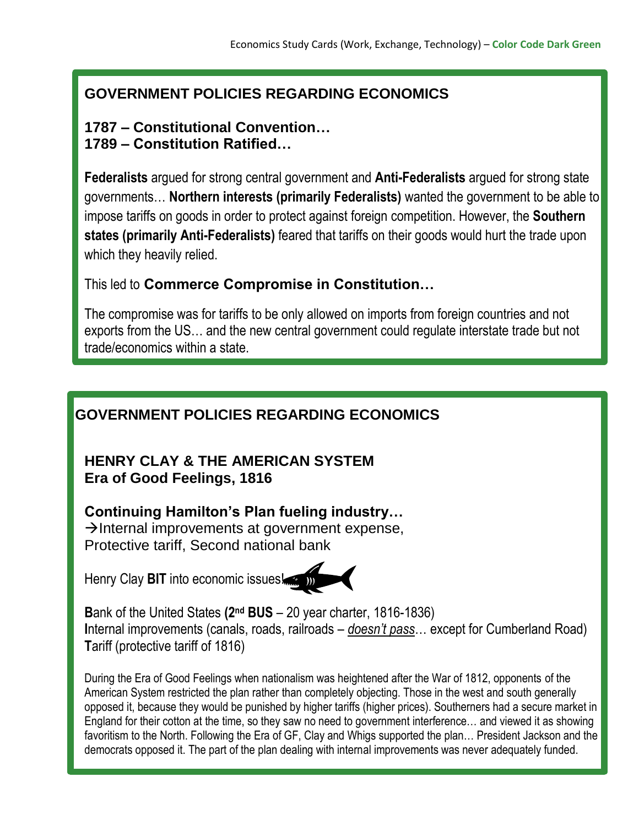# **GOVERNMENT POLICIES REGARDING ECONOMICS**

### **1787 – Constitutional Convention… 1789 – Constitution Ratified…**

**Federalists** argued for strong central government and **Anti-Federalists** argued for strong state governments… **Northern interests (primarily Federalists)** wanted the government to be able to impose tariffs on goods in order to protect against foreign competition. However, the **Southern states (primarily Anti-Federalists)** feared that tariffs on their goods would hurt the trade upon which they heavily relied.

### This led to **Commerce Compromise in Constitution…**

The compromise was for tariffs to be only allowed on imports from foreign countries and not exports from the US… and the new central government could regulate interstate trade but not trade/economics within a state.

# **GOVERNMENT POLICIES REGARDING ECONOMICS**

### **HENRY CLAY & THE AMERICAN SYSTEM Era of Good Feelings, 1816**

### **Continuing Hamilton's Plan fueling industry…**

 $\rightarrow$ Internal improvements at government expense, Protective tariff, Second national bank

Henry Clay **BIT** into economic issues!



**B**ank of the United States **(2nd BUS** – 20 year charter, 1816-1836) **I**nternal improvements (canals, roads, railroads – *doesn't pass*… except for Cumberland Road) **T**ariff (protective tariff of 1816)

During the Era of Good Feelings when nationalism was heightened after the War of 1812, opponents of the American System restricted the plan rather than completely objecting. Those in the west and south generally opposed it, because they would be punished by higher tariffs (higher prices). Southerners had a secure market in England for their cotton at the time, so they saw no need to government interference… and viewed it as showing favoritism to the North. Following the Era of GF, Clay and Whigs supported the plan… President Jackson and the democrats opposed it. The part of the plan dealing with internal improvements was never adequately funded.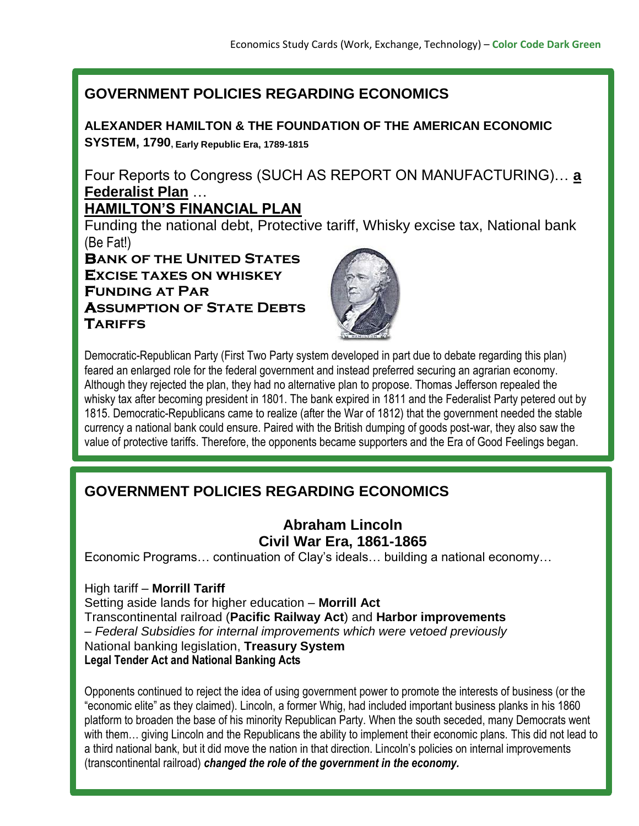# **GOVERNMENT POLICIES REGARDING ECONOMICS**

**ALEXANDER HAMILTON & THE FOUNDATION OF THE AMERICAN ECONOMIC SYSTEM, 1790, Early Republic Era, 1789-1815**

Four Reports to Congress (SUCH AS REPORT ON MANUFACTURING)… **a Federalist Plan** …

## **HAMILTON'S FINANCIAL PLAN**

Funding the national debt, Protective tariff, Whisky excise tax, National bank (Be Fat!)

**Bank of the United States Excise taxes on whiskey Funding at Par Assumption of State Debts Tariffs**



Democratic-Republican Party (First Two Party system developed in part due to debate regarding this plan) feared an enlarged role for the federal government and instead preferred securing an agrarian economy. Although they rejected the plan, they had no alternative plan to propose. Thomas Jefferson repealed the whisky tax after becoming president in 1801. The bank expired in 1811 and the Federalist Party petered out by 1815. Democratic-Republicans came to realize (after the War of 1812) that the government needed the stable currency a national bank could ensure. Paired with the British dumping of goods post-war, they also saw the value of protective tariffs. Therefore, the opponents became supporters and the Era of Good Feelings began.

# **GOVERNMENT POLICIES REGARDING ECONOMICS**

# **Abraham Lincoln Civil War Era, 1861-1865**

Economic Programs… continuation of Clay's ideals… building a national economy…

High tariff – **Morrill Tariff** Setting aside lands for higher education – **Morrill Act** Transcontinental railroad (**Pacific Railway Act**) and **Harbor improvements** – *Federal Subsidies for internal improvements which were vetoed previously* National banking legislation, **Treasury System Legal Tender Act and National Banking Acts**

Opponents continued to reject the idea of using government power to promote the interests of business (or the "economic elite" as they claimed). Lincoln, a former Whig, had included important business planks in his 1860 platform to broaden the base of his minority Republican Party. When the south seceded, many Democrats went with them... giving Lincoln and the Republicans the ability to implement their economic plans. This did not lead to a third national bank, but it did move the nation in that direction. Lincoln's policies on internal improvements (transcontinental railroad) *changed the role of the government in the economy.*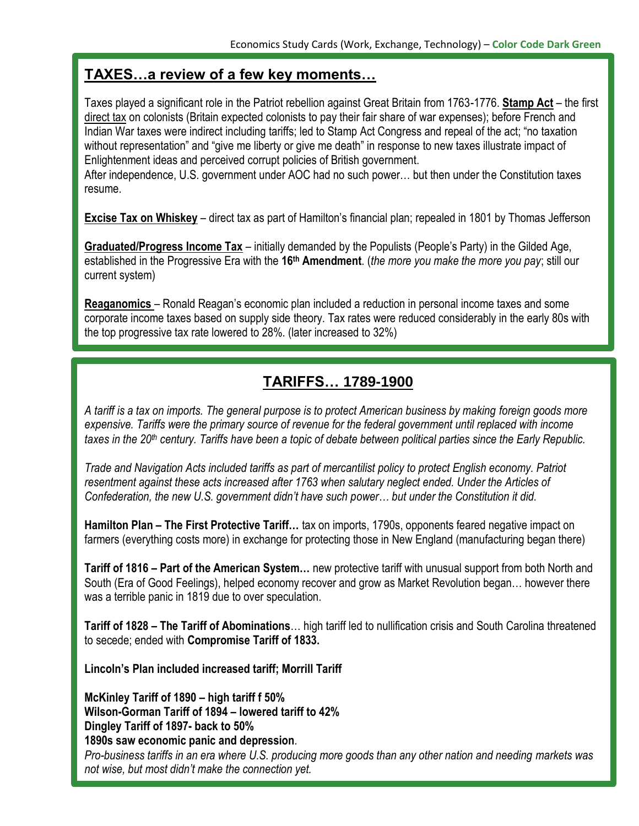### **TAXES…a review of a few key moments…**

Taxes played a significant role in the Patriot rebellion against Great Britain from 1763-1776. **Stamp Act** – the first direct tax on colonists (Britain expected colonists to pay their fair share of war expenses); before French and Indian War taxes were indirect including tariffs; led to Stamp Act Congress and repeal of the act; "no taxation without representation" and "give me liberty or give me death" in response to new taxes illustrate impact of Enlightenment ideas and perceived corrupt policies of British government.

After independence, U.S. government under AOC had no such power… but then under the Constitution taxes resume.

**Excise Tax on Whiskey** – direct tax as part of Hamilton's financial plan; repealed in 1801 by Thomas Jefferson

**Graduated/Progress Income Tax** – initially demanded by the Populists (People's Party) in the Gilded Age, established in the Progressive Era with the **16th Amendment**. (*the more you make the more you pay*; still our current system)

**Reaganomics** – Ronald Reagan's economic plan included a reduction in personal income taxes and some corporate income taxes based on supply side theory. Tax rates were reduced considerably in the early 80s with the top progressive tax rate lowered to 28%. (later increased to 32%)

# **TARIFFS… 1789-1900**

*A tariff is a tax on imports. The general purpose is to protect American business by making foreign goods more expensive. Tariffs were the primary source of revenue for the federal government until replaced with income taxes in the 20th century. Tariffs have been a topic of debate between political parties since the Early Republic.*

*Trade and Navigation Acts included tariffs as part of mercantilist policy to protect English economy. Patriot resentment against these acts increased after 1763 when salutary neglect ended. Under the Articles of Confederation, the new U.S. government didn't have such power… but under the Constitution it did.* 

**Hamilton Plan – The First Protective Tariff…** tax on imports, 1790s, opponents feared negative impact on farmers (everything costs more) in exchange for protecting those in New England (manufacturing began there)

**Tariff of 1816 – Part of the American System…** new protective tariff with unusual support from both North and South (Era of Good Feelings), helped economy recover and grow as Market Revolution began… however there was a terrible panic in 1819 due to over speculation.

**Tariff of 1828 – The Tariff of Abominations**… high tariff led to nullification crisis and South Carolina threatened to secede; ended with **Compromise Tariff of 1833.** 

**Lincoln's Plan included increased tariff; Morrill Tariff**

**McKinley Tariff of 1890 – high tariff f 50% Wilson-Gorman Tariff of 1894 – lowered tariff to 42% Dingley Tariff of 1897- back to 50% 1890s saw economic panic and depression***.*

*Pro-business tariffs in an era where U.S. producing more goods than any other nation and needing markets was not wise, but most didn't make the connection yet.*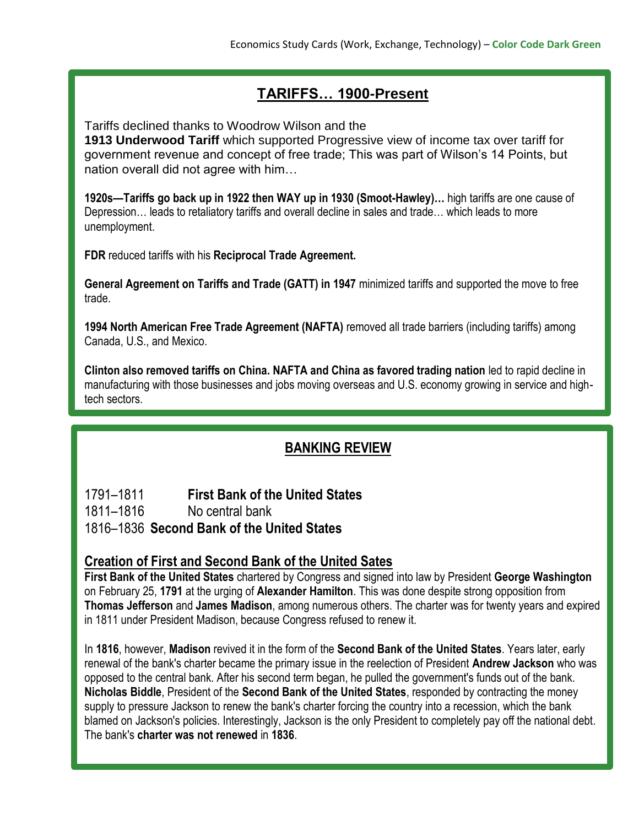# **TARIFFS… 1900-Present**

Tariffs declined thanks to Woodrow Wilson and the

**1913 Underwood Tariff** which supported Progressive view of income tax over tariff for government revenue and concept of free trade; This was part of Wilson's 14 Points, but nation overall did not agree with him…

**1920s—Tariffs go back up in 1922 then WAY up in 1930 (Smoot-Hawley)…** high tariffs are one cause of Depression… leads to retaliatory tariffs and overall decline in sales and trade… which leads to more unemployment.

**FDR** reduced tariffs with his **Reciprocal Trade Agreement.**

**General Agreement on Tariffs and Trade (GATT) in 1947** minimized tariffs and supported the move to free trade.

**1994 North American Free Trade Agreement (NAFTA)** removed all trade barriers (including tariffs) among Canada, U.S., and Mexico.

**Clinton also removed tariffs on China. NAFTA and China as favored trading nation** led to rapid decline in manufacturing with those businesses and jobs moving overseas and U.S. economy growing in service and hightech sectors.

# **BANKING REVIEW**

1791–1811 **[First Bank of the United States](http://en.wikipedia.org/wiki/First_Bank_of_the_United_States)** 1811–1816 No central bank 1816–1836 **[Second Bank of the United States](http://en.wikipedia.org/wiki/Second_Bank_of_the_United_States)**

#### **Creation of First and Second Bank of the United Sates**

**First Bank of the United States** chartered by Congress and signed into law by President **George Washington** on February 25, **1791** at the urging of **[Alexander Hamilton](http://en.wikipedia.org/wiki/Alexander_Hamilton)**. This was done despite strong opposition from **Thomas Jefferson** and **James Madison**, among numerous others. The charter was for twenty years and expired in 1811 under President Madison, because Congress refused to renew it.

In **1816**, however, **Madison** revived it in the form of the **Second Bank of the United States**. Years later, early renewal of the bank's charter became the primary issue in the reelection of President **Andrew Jackson** who was opposed to the central bank. After his second term began, he pulled the government's funds out of the bank. **Nicholas Biddle**, President of the **Second Bank of the United States**, responded by contracting the money supply to pressure Jackson to renew the bank's charter forcing the country into a recession, which the bank blamed on Jackson's policies. Interestingly, Jackson is the only President to completely [pay off the national debt.](http://online.wsj.com/article/SB123491373049303821.html) The bank's **charter was not renewed** in **1836**.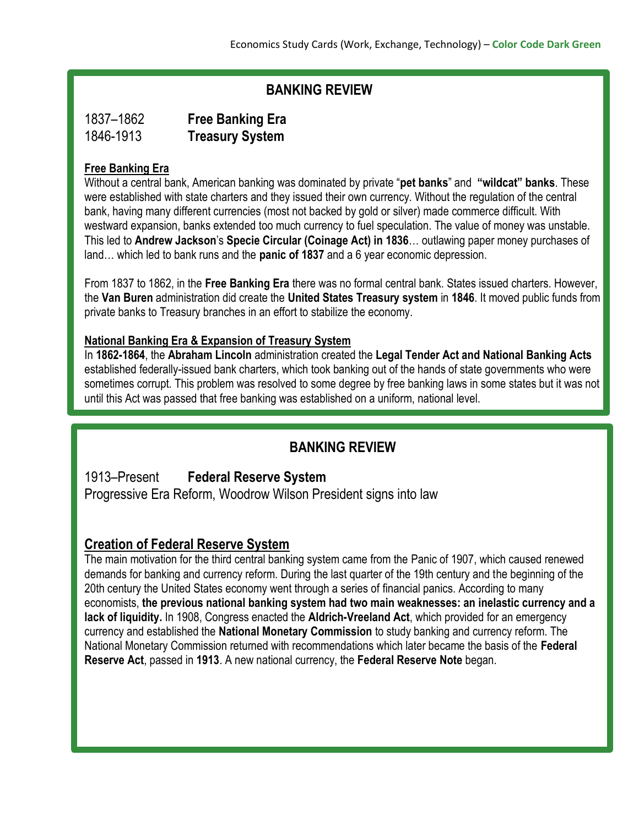### **BANKING REVIEW**

| 1837–1862 | <b>Free Banking Era</b> |
|-----------|-------------------------|
| 1846-1913 | <b>Treasury System</b>  |

#### **Free Banking Era**

Without a central bank, American banking was dominated by private "**pet banks**" and **"wildcat" banks**. These were established with state charters and they issued their own currency. Without the regulation of the central bank, having many different currencies (most not backed by gold or silver) made commerce difficult. With westward expansion, banks extended too much currency to fuel speculation. The value of money was unstable. This led to **Andrew Jackson**'s **Specie Circular (Coinage Act) in 1836**… outlawing paper money purchases of land… which led to bank runs and the **panic of 1837** and a 6 year economic depression.

From 1837 to 1862, in the **Free Banking Era** there was no formal central bank. States issued charters. However, the **Van Buren** administration did create the **United States Treasury system** in **1846**. It moved public funds from private banks to Treasury branches in an effort to stabilize the economy.

#### **National Banking Era & Expansion of Treasury System**

In **1862-1864**, the **Abraham Lincoln** administration created the **Legal Tender Act and National Banking Acts** established federally-issued bank charters, which took banking out of the hands of state governments who were sometimes corrupt. This problem was resolved to some degree by free banking laws in some states but it was not until this Act was passed that free banking was established on a uniform, national level.

#### **BANKING REVIEW**

1913–Present **Federal Reserve System** Progressive Era Reform, Woodrow Wilson President signs into law

#### **Creation of Federal Reserve System**

The main motivation for the third central banking system came from the [Panic of 1907,](http://en.wikipedia.org/wiki/Panic_of_1907) which caused renewed demands for banking and currency reform. During the last quarter of the 19th century and the beginning of the 20th century the United States economy went through a series of [financial panics.](http://en.wikipedia.org/wiki/Financial_panics) According to many economists, **the previous national banking system had two main weaknesses: an inelastic currency and a lack of liquidity.** In 1908, Congress enacted the **Aldrich-Vreeland Act**, which provided for an emergency currency and established the **National Monetary Commission** to study banking and currency reform. The National Monetary Commission returned with recommendations which later became the basis of the **Federal Reserve Act**, passed in **1913**. A new national currency, the **Federal Reserve Note** began.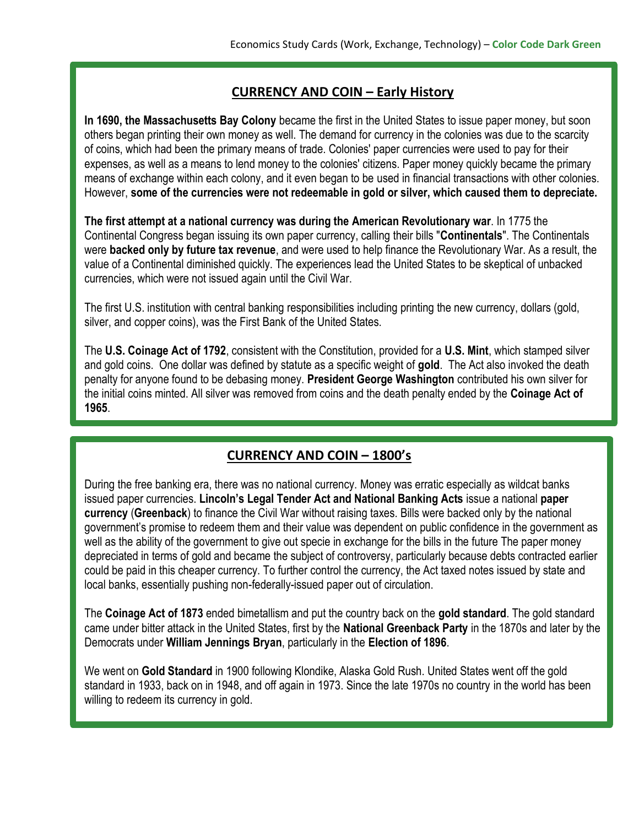#### **CURRENCY AND COIN – Early History**

**In 1690, the Massachusetts Bay Colony** became the first in the United States to issue paper money, but soon others began printing their own money as well. The demand for currency in the colonies was due to the scarcity of coins, which had been the primary means of trade. Colonies' paper currencies were used to pay for their expenses, as well as a means to lend money to the colonies' citizens. Paper money quickly became the primary means of exchange within each colony, and it even began to be used in financial transactions with other colonies. However, **some of the currencies were not redeemable in gold or silver, which caused them to depreciate.** 

**The first attempt at a national currency was during the [American Revolutionary war](http://en.wikipedia.org/wiki/American_Revolutionary_war)**. In 1775 the Continental Congress began issuing its own paper currency, calling their bills "**Continentals**". The Continentals were **backed only by future tax revenue**, and were used to help finance the Revolutionary War. As a result, the value of a Continental diminished quickly. The experiences lead the United States to be skeptical of unbacked currencies, which were not issued again until the Civil War.

The first U.S. institution with central banking responsibilities including printing the new currency, dollars (gold, silver, and copper coins), was the First Bank of the United States.

The **U.S. Coinage Act of 1792**, consistent with the Constitution, provided for a **U.S. Mint**, which stamped silver and gold coins. One dollar was defined by statute as a specific weight of **gold**. The Act also invoked the death penalty for anyone found to be debasing money. **President George Washington** contributed his own silver for the initial coins minted. All silver was removed from coins and the death penalty ended by the **Coinage Act of 1965**.

#### **CURRENCY AND COIN – 1800's**

During the free banking era, there was no national currency. Money was erratic especially as wildcat banks issued paper currencies. **Lincoln's Legal Tender Act and National Banking Acts** issue a national **paper currency** (**Greenback**) to finance the Civil War without raising taxes. Bills were backed only by the national government's promise to redeem them and their value was dependent on public confidence in the government as well as the ability of the government to give out specie in exchange for the bills in the future The paper money depreciated in terms of gold and became the subject of controversy, particularly because debts contracted earlier could be paid in this cheaper currency. To further control the currency, the Act taxed notes issued by state and local banks, essentially pushing non-federally-issued paper out of circulation.

The **Coinage Act of 1873** ended bimetallism and put the country back on the **gold standard**. The gold standard came under bitter attack in the United States, first by the **National Greenback Party** in the 1870s and later by the Democrats under **William Jennings Bryan**, particularly in the **Election of 1896**.

We went on **Gold Standard** in 1900 following Klondike, Alaska Gold Rush. United States went off the gold standard in 1933, back on in 1948, and off again in 1973. Since the late 1970s no country in the world has been willing to redeem its currency in gold.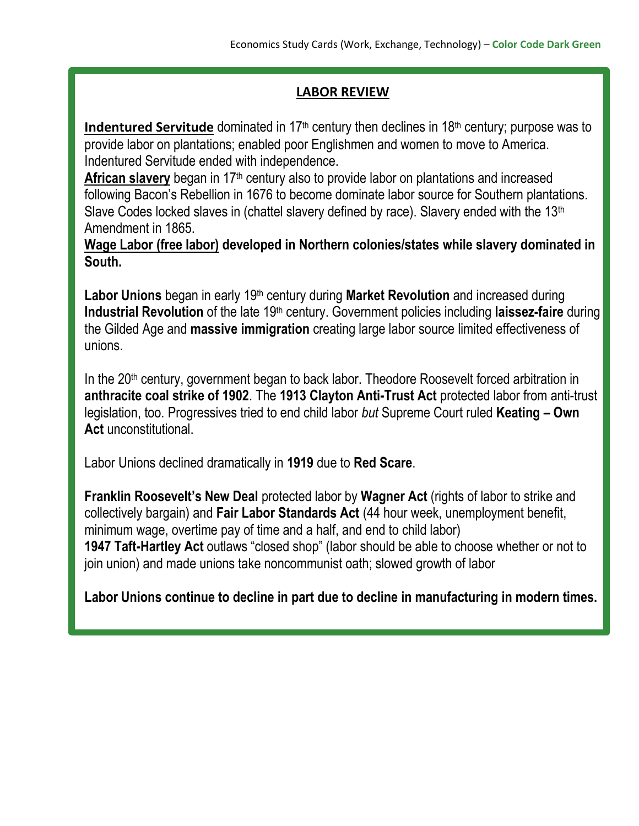#### **LABOR REVIEW**

Indentured Servitude dominated in 17<sup>th</sup> century then declines in 18<sup>th</sup> century; purpose was to provide labor on plantations; enabled poor Englishmen and women to move to America. Indentured Servitude ended with independence.

African slavery began in 17<sup>th</sup> century also to provide labor on plantations and increased following Bacon's Rebellion in 1676 to become dominate labor source for Southern plantations. Slave Codes locked slaves in (chattel slavery defined by race). Slavery ended with the 13<sup>th</sup> Amendment in 1865.

**Wage Labor (free labor) developed in Northern colonies/states while slavery dominated in South.**

Labor Unions began in early 19<sup>th</sup> century during **Market Revolution** and increased during **Industrial Revolution** of the late 19th century. Government policies including **laissez-faire** during the Gilded Age and **massive immigration** creating large labor source limited effectiveness of unions.

In the 20<sup>th</sup> century, government began to back labor. Theodore Roosevelt forced arbitration in **anthracite coal strike of 1902**. The **1913 Clayton Anti-Trust Act** protected labor from anti-trust legislation, too. Progressives tried to end child labor *but* Supreme Court ruled **Keating – Own Act** unconstitutional.

Labor Unions declined dramatically in **1919** due to **Red Scare**.

**Franklin Roosevelt's New Deal** protected labor by **Wagner Act** (rights of labor to strike and collectively bargain) and **Fair Labor Standards Act** (44 hour week, unemployment benefit, minimum wage, overtime pay of time and a half, and end to child labor) **1947 Taft-Hartley Act** outlaws "closed shop" (labor should be able to choose whether or not to join union) and made unions take noncommunist oath; slowed growth of labor

**Labor Unions continue to decline in part due to decline in manufacturing in modern times.**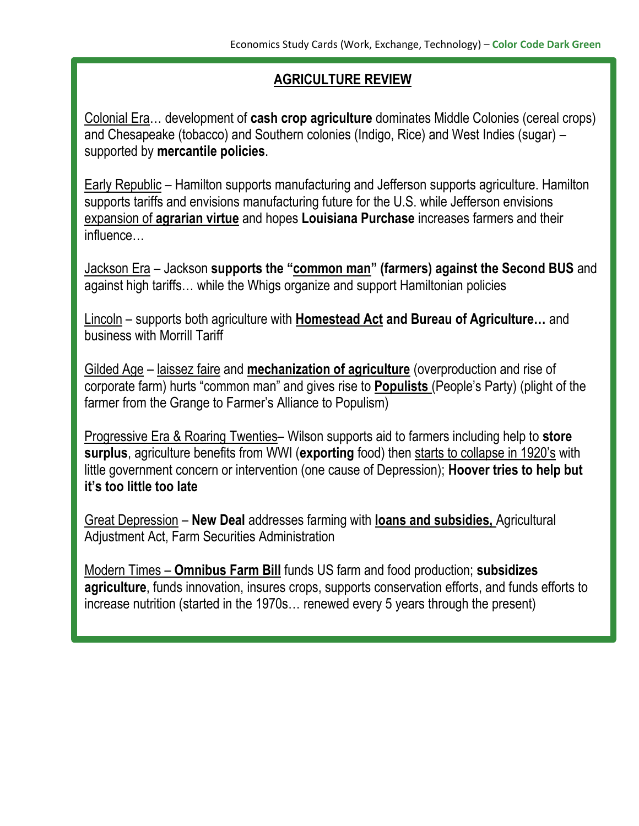### **AGRICULTURE REVIEW**

Colonial Era… development of **cash crop agriculture** dominates Middle Colonies (cereal crops) and Chesapeake (tobacco) and Southern colonies (Indigo, Rice) and West Indies (sugar) – supported by **mercantile policies**.

Early Republic – Hamilton supports manufacturing and Jefferson supports agriculture. Hamilton supports tariffs and envisions manufacturing future for the U.S. while Jefferson envisions expansion of **agrarian virtue** and hopes **Louisiana Purchase** increases farmers and their influence…

Jackson Era – Jackson **supports the "common man" (farmers) against the Second BUS** and against high tariffs… while the Whigs organize and support Hamiltonian policies

Lincoln – supports both agriculture with **Homestead Act and Bureau of Agriculture…** and business with Morrill Tariff

Gilded Age – laissez faire and **mechanization of agriculture** (overproduction and rise of corporate farm) hurts "common man" and gives rise to **Populists** (People's Party) (plight of the farmer from the Grange to Farmer's Alliance to Populism)

Progressive Era & Roaring Twenties– Wilson supports aid to farmers including help to **store surplus**, agriculture benefits from WWI (**exporting** food) then starts to collapse in 1920's with little government concern or intervention (one cause of Depression); **Hoover tries to help but it's too little too late**

Great Depression – **New Deal** addresses farming with **loans and subsidies,** Agricultural Adjustment Act, Farm Securities Administration

Modern Times – **Omnibus Farm Bill** funds US farm and food production; **subsidizes agriculture**, funds innovation, insures crops, supports conservation efforts, and funds efforts to increase nutrition (started in the 1970s… renewed every 5 years through the present)